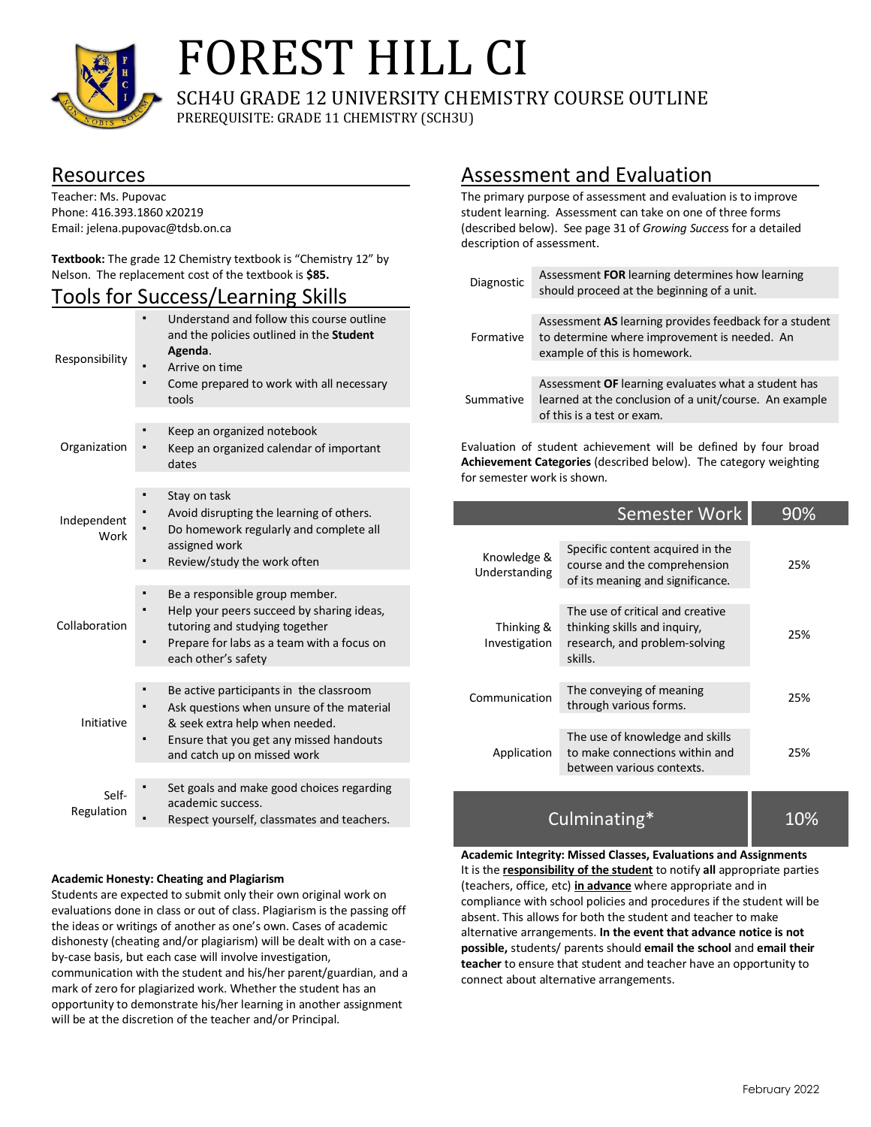

# FOREST HILL CI

SCH4U GRADE 12 UNIVERSITY CHEMISTRY COURSE OUTLINE PREREQUISITE: GRADE 11 CHEMISTRY (SCH3U)

### Resources

Teacher: Ms. Pupovac Phone: 416.393.1860 x20219 Email: jelena.pupovac@tdsb.on.ca

**Textbook:** The grade 12 Chemistry textbook is "Chemistry 12" by Nelson. The replacement cost of the textbook is **\$85.**

# Tools for Success/Learning Skills

| Responsibility      | Understand and follow this course outline<br>and the policies outlined in the Student<br>Agenda.<br>Arrive on time<br>Come prepared to work with all necessary<br>tools                          |
|---------------------|--------------------------------------------------------------------------------------------------------------------------------------------------------------------------------------------------|
| Organization        | Keep an organized notebook<br>Keep an organized calendar of important<br>dates                                                                                                                   |
| Independent<br>Work | Stay on task<br>Avoid disrupting the learning of others.<br>Do homework regularly and complete all<br>assigned work<br>Review/study the work often                                               |
| Collaboration       | Be a responsible group member.<br>Help your peers succeed by sharing ideas,<br>tutoring and studying together<br>Prepare for labs as a team with a focus on<br>each other's safety               |
| Initiative          | Be active participants in the classroom<br>Ask questions when unsure of the material<br>& seek extra help when needed.<br>Ensure that you get any missed handouts<br>and catch up on missed work |
| Self-<br>Regulation | Set goals and make good choices regarding<br>academic success.<br>Respect yourself, classmates and teachers.                                                                                     |

#### **Academic Honesty: Cheating and Plagiarism**

Students are expected to submit only their own original work on evaluations done in class or out of class. Plagiarism is the passing off the ideas or writings of another as one's own. Cases of academic dishonesty (cheating and/or plagiarism) will be dealt with on a caseby-case basis, but each case will involve investigation, communication with the student and his/her parent/guardian, and a mark of zero for plagiarized work. Whether the student has an opportunity to demonstrate his/her learning in another assignment will be at the discretion of the teacher and/or Principal.

## Assessment and Evaluation

The primary purpose of assessment and evaluation is to improve student learning. Assessment can take on one of three forms (described below). See page 31 of *Growing Succes*s for a detailed description of assessment.

| Diagnostic | Assessment FOR learning determines how learning<br>should proceed at the beginning of a unit.                                               |  |  |  |
|------------|---------------------------------------------------------------------------------------------------------------------------------------------|--|--|--|
|            | Assessment AS learning provides feedback for a student                                                                                      |  |  |  |
| Formative  | to determine where improvement is needed. An<br>example of this is homework.                                                                |  |  |  |
|            |                                                                                                                                             |  |  |  |
| Summative  | Assessment OF learning evaluates what a student has<br>learned at the conclusion of a unit/course. An example<br>of this is a test or exam. |  |  |  |
|            | Evaluation of student achievement will be defined by four broad                                                                             |  |  |  |

Evaluation of student achievement will be defined by four broad **Achievement Categories** (described below). The category weighting for semester work is shown.

|                              | Semester Work                                                                                                |     |
|------------------------------|--------------------------------------------------------------------------------------------------------------|-----|
| Knowledge &<br>Understanding | Specific content acquired in the<br>course and the comprehension<br>of its meaning and significance.         | 25% |
| Thinking &<br>Investigation  | The use of critical and creative<br>thinking skills and inquiry,<br>research, and problem-solving<br>skills. | 25% |
| Communication                | The conveying of meaning<br>through various forms.                                                           | 25% |
| Application                  | The use of knowledge and skills<br>to make connections within and<br>between various contexts.               | 25% |
|                              |                                                                                                              |     |

$$
Culminating^* \hspace{1cm} 10\%
$$

**Academic Integrity: Missed Classes, Evaluations and Assignments** It is the **responsibility of the student** to notify **all** appropriate parties (teachers, office, etc) **in advance** where appropriate and in compliance with school policies and procedures if the student will be absent. This allows for both the student and teacher to make alternative arrangements. **In the event that advance notice is not possible,** students/ parents should **email the school** and **email their teacher** to ensure that student and teacher have an opportunity to connect about alternative arrangements.